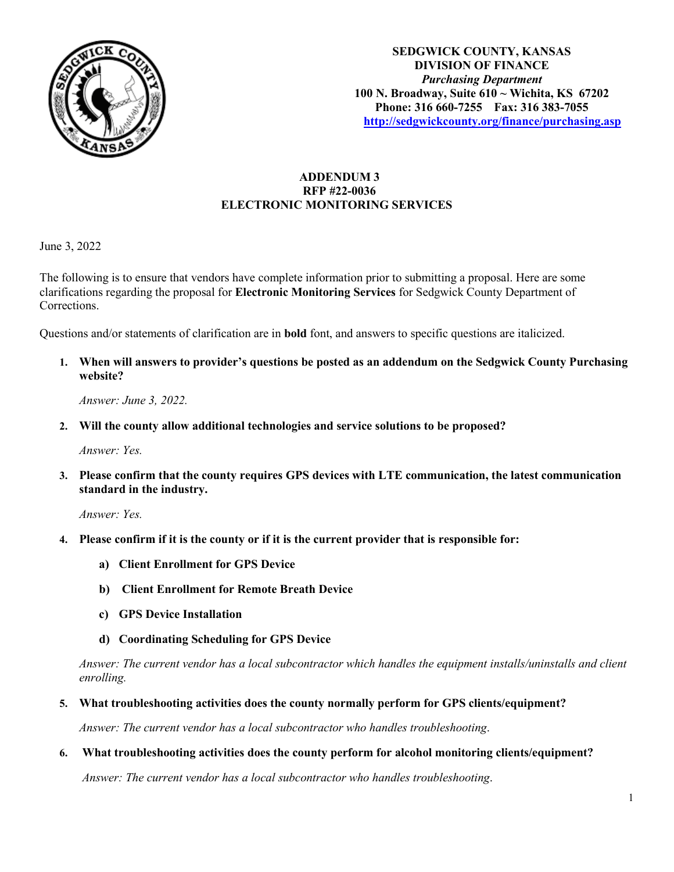

# **ADDENDUM 3 RFP #22-0036 ELECTRONIC MONITORING SERVICES**

June 3, 2022

The following is to ensure that vendors have complete information prior to submitting a proposal. Here are some clarifications regarding the proposal for **Electronic Monitoring Services** for Sedgwick County Department of Corrections.

Questions and/or statements of clarification are in **bold** font, and answers to specific questions are italicized.

**1. When will answers to provider's questions be posted as an addendum on the Sedgwick County Purchasing website?**

*Answer: June 3, 2022.* 

**2. Will the county allow additional technologies and service solutions to be proposed?** 

*Answer: Yes.* 

**3. Please confirm that the county requires GPS devices with LTE communication, the latest communication standard in the industry.** 

*Answer: Yes.* 

- **4. Please confirm if it is the county or if it is the current provider that is responsible for:**
	- **a) Client Enrollment for GPS Device**
	- **b) Client Enrollment for Remote Breath Device**
	- **c) GPS Device Installation**
	- **d) Coordinating Scheduling for GPS Device**

*Answer: The current vendor has a local subcontractor which handles the equipment installs/uninstalls and client enrolling.* 

**5. What troubleshooting activities does the county normally perform for GPS clients/equipment?**

*Answer: The current vendor has a local subcontractor who handles troubleshooting*.

**6. What troubleshooting activities does the county perform for alcohol monitoring clients/equipment?** 

*Answer: The current vendor has a local subcontractor who handles troubleshooting*.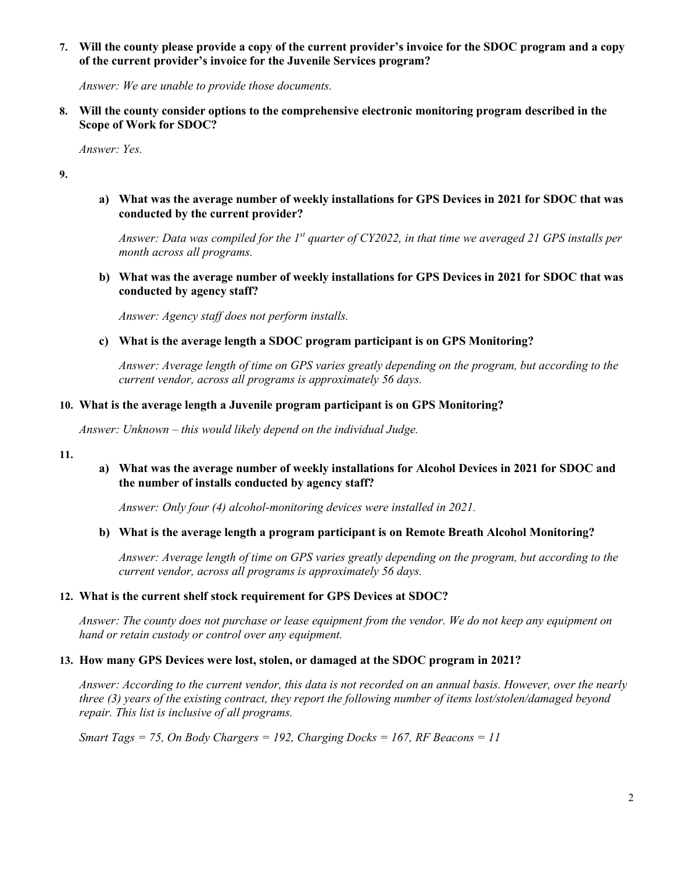# **7. Will the county please provide a copy of the current provider's invoice for the SDOC program and a copy of the current provider's invoice for the Juvenile Services program?**

*Answer: We are unable to provide those documents.*

**8. Will the county consider options to the comprehensive electronic monitoring program described in the Scope of Work for SDOC?** 

*Answer: Yes.*

**9.**

**a) What was the average number of weekly installations for GPS Devices in 2021 for SDOC that was conducted by the current provider?**

*Answer: Data was compiled for the 1st quarter of CY2022, in that time we averaged 21 GPS installs per month across all programs.*

**b) What was the average number of weekly installations for GPS Devices in 2021 for SDOC that was conducted by agency staff?** 

*Answer: Agency staff does not perform installs.*

**c) What is the average length a SDOC program participant is on GPS Monitoring?**

*Answer: Average length of time on GPS varies greatly depending on the program, but according to the current vendor, across all programs is approximately 56 days.* 

# **10. What is the average length a Juvenile program participant is on GPS Monitoring?**

*Answer: Unknown – this would likely depend on the individual Judge.* 

**11.**

# **a) What was the average number of weekly installations for Alcohol Devices in 2021 for SDOC and the number of installs conducted by agency staff?**

*Answer: Only four (4) alcohol-monitoring devices were installed in 2021.*

## **b) What is the average length a program participant is on Remote Breath Alcohol Monitoring?**

*Answer: Average length of time on GPS varies greatly depending on the program, but according to the current vendor, across all programs is approximately 56 days.* 

## **12. What is the current shelf stock requirement for GPS Devices at SDOC?**

*Answer: The county does not purchase or lease equipment from the vendor. We do not keep any equipment on hand or retain custody or control over any equipment.*

## **13. How many GPS Devices were lost, stolen, or damaged at the SDOC program in 2021?**

*Answer: According to the current vendor, this data is not recorded on an annual basis. However, over the nearly three (3) years of the existing contract, they report the following number of items lost/stolen/damaged beyond repair. This list is inclusive of all programs.*

*Smart Tags = 75, On Body Chargers = 192, Charging Docks = 167, RF Beacons = 11*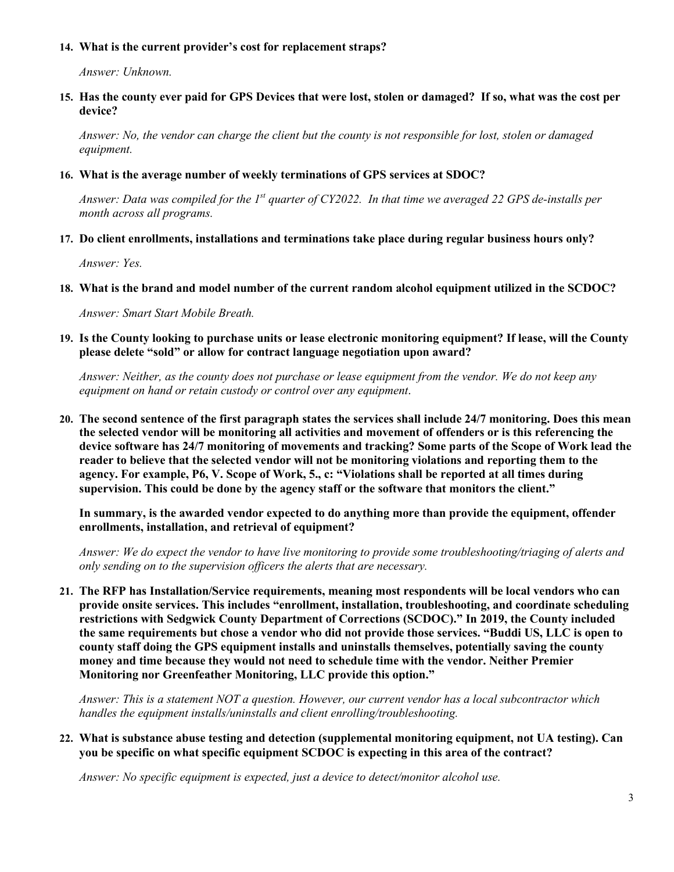## **14. What is the current provider's cost for replacement straps?**

*Answer: Unknown.*

**15. Has the county ever paid for GPS Devices that were lost, stolen or damaged? If so, what was the cost per device?**

*Answer: No, the vendor can charge the client but the county is not responsible for lost, stolen or damaged equipment.*

#### **16. What is the average number of weekly terminations of GPS services at SDOC?**

*Answer: Data was compiled for the 1st quarter of CY2022. In that time we averaged 22 GPS de-installs per month across all programs.*

**17. Do client enrollments, installations and terminations take place during regular business hours only?**

*Answer: Yes.*

**18. What is the brand and model number of the current random alcohol equipment utilized in the SCDOC?**

*Answer: Smart Start Mobile Breath.*

**19. Is the County looking to purchase units or lease electronic monitoring equipment? If lease, will the County please delete "sold" or allow for contract language negotiation upon award?** 

*Answer: Neither, as the county does not purchase or lease equipment from the vendor. We do not keep any equipment on hand or retain custody or control over any equipment*.

**20. The second sentence of the first paragraph states the services shall include 24/7 monitoring. Does this mean the selected vendor will be monitoring all activities and movement of offenders or is this referencing the device software has 24/7 monitoring of movements and tracking? Some parts of the Scope of Work lead the reader to believe that the selected vendor will not be monitoring violations and reporting them to the agency. For example, P6, V. Scope of Work, 5., c: "Violations shall be reported at all times during supervision. This could be done by the agency staff or the software that monitors the client."** 

**In summary, is the awarded vendor expected to do anything more than provide the equipment, offender enrollments, installation, and retrieval of equipment?** 

*Answer: We do expect the vendor to have live monitoring to provide some troubleshooting/triaging of alerts and only sending on to the supervision officers the alerts that are necessary.* 

**21. The RFP has Installation/Service requirements, meaning most respondents will be local vendors who can provide onsite services. This includes "enrollment, installation, troubleshooting, and coordinate scheduling restrictions with Sedgwick County Department of Corrections (SCDOC)." In 2019, the County included the same requirements but chose a vendor who did not provide those services. "Buddi US, LLC is open to county staff doing the GPS equipment installs and uninstalls themselves, potentially saving the county money and time because they would not need to schedule time with the vendor. Neither Premier Monitoring nor Greenfeather Monitoring, LLC provide this option."** 

*Answer: This is a statement NOT a question. However, our current vendor has a local subcontractor which handles the equipment installs/uninstalls and client enrolling/troubleshooting.* 

**22. What is substance abuse testing and detection (supplemental monitoring equipment, not UA testing). Can you be specific on what specific equipment SCDOC is expecting in this area of the contract?** 

*Answer: No specific equipment is expected, just a device to detect/monitor alcohol use.*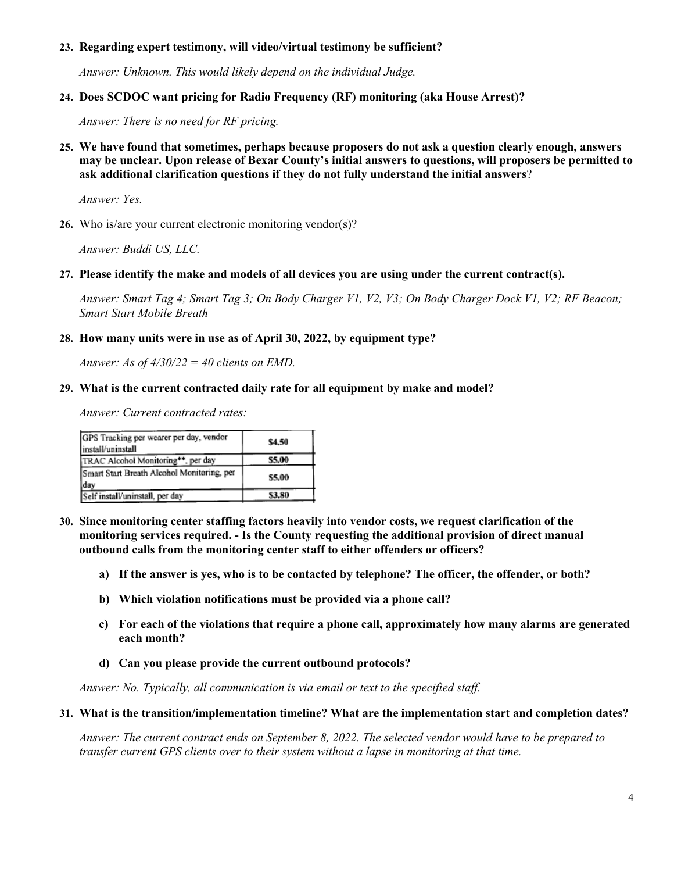## **23. Regarding expert testimony, will video/virtual testimony be sufficient?**

*Answer: Unknown. This would likely depend on the individual Judge.* 

## **24. Does SCDOC want pricing for Radio Frequency (RF) monitoring (aka House Arrest)?**

*Answer: There is no need for RF pricing.* 

**25. We have found that sometimes, perhaps because proposers do not ask a question clearly enough, answers may be unclear. Upon release of Bexar County's initial answers to questions, will proposers be permitted to ask additional clarification questions if they do not fully understand the initial answers**?

*Answer: Yes.*

**26.** Who is/are your current electronic monitoring vendor(s)?

*Answer: Buddi US, LLC.*

**27. Please identify the make and models of all devices you are using under the current contract(s).** 

*Answer: Smart Tag 4; Smart Tag 3; On Body Charger V1, V2, V3; On Body Charger Dock V1, V2; RF Beacon; Smart Start Mobile Breath*

#### **28. How many units were in use as of April 30, 2022, by equipment type?**

*Answer: As of 4/30/22 = 40 clients on EMD.*

#### **29. What is the current contracted daily rate for all equipment by make and model?**

*Answer: Current contracted rates:*

| GPS Tracking per wearer per day, vendor<br>install/uninstall | \$4.50 |
|--------------------------------------------------------------|--------|
| TRAC Alcohol Monitoring**, per day                           | \$5.00 |
| Smart Start Breath Alcohol Monitoring, per<br>day            | \$5.00 |
| Self install/uninstall, per day                              | \$3.80 |

- **30. Since monitoring center staffing factors heavily into vendor costs, we request clarification of the monitoring services required. - Is the County requesting the additional provision of direct manual outbound calls from the monitoring center staff to either offenders or officers?** 
	- **a) If the answer is yes, who is to be contacted by telephone? The officer, the offender, or both?**
	- **b) Which violation notifications must be provided via a phone call?**
	- **c) For each of the violations that require a phone call, approximately how many alarms are generated each month?**
	- **d) Can you please provide the current outbound protocols?**

*Answer: No. Typically, all communication is via email or text to the specified staff.* 

#### **31. What is the transition/implementation timeline? What are the implementation start and completion dates?**

*Answer: The current contract ends on September 8, 2022. The selected vendor would have to be prepared to transfer current GPS clients over to their system without a lapse in monitoring at that time.*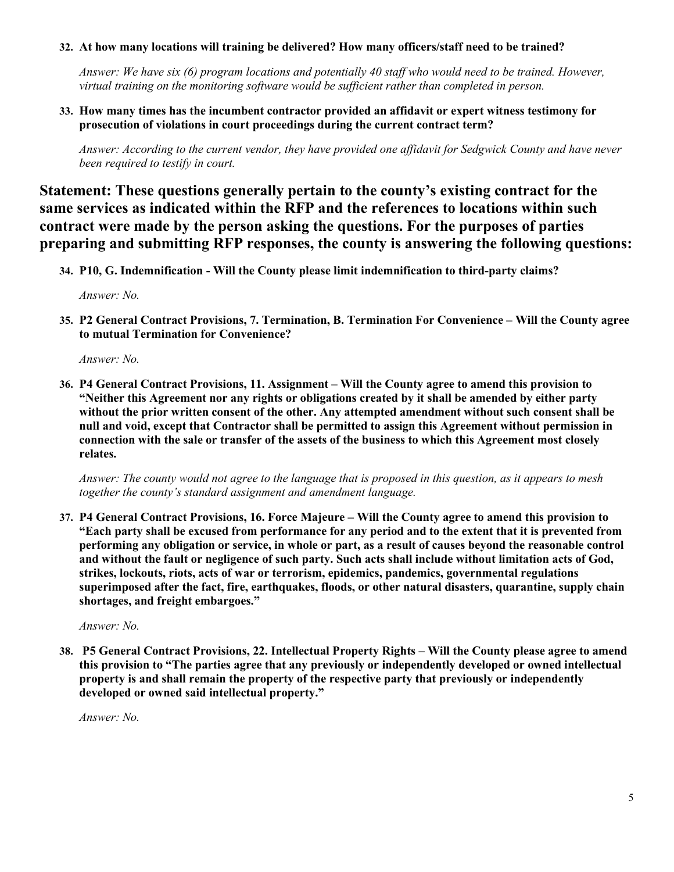# **32. At how many locations will training be delivered? How many officers/staff need to be trained?**

*Answer: We have six (6) program locations and potentially 40 staff who would need to be trained. However, virtual training on the monitoring software would be sufficient rather than completed in person.*

**33. How many times has the incumbent contractor provided an affidavit or expert witness testimony for prosecution of violations in court proceedings during the current contract term?** 

*Answer: According to the current vendor, they have provided one affidavit for Sedgwick County and have never been required to testify in court.* 

**Statement: These questions generally pertain to the county's existing contract for the same services as indicated within the RFP and the references to locations within such contract were made by the person asking the questions. For the purposes of parties preparing and submitting RFP responses, the county is answering the following questions:**

**34. P10, G. Indemnification - Will the County please limit indemnification to third-party claims?**

*Answer: No.*

**35. P2 General Contract Provisions, 7. Termination, B. Termination For Convenience – Will the County agree to mutual Termination for Convenience?** 

*Answer: No.*

**36. P4 General Contract Provisions, 11. Assignment – Will the County agree to amend this provision to "Neither this Agreement nor any rights or obligations created by it shall be amended by either party without the prior written consent of the other. Any attempted amendment without such consent shall be null and void, except that Contractor shall be permitted to assign this Agreement without permission in connection with the sale or transfer of the assets of the business to which this Agreement most closely relates.** 

*Answer: The county would not agree to the language that is proposed in this question, as it appears to mesh together the county's standard assignment and amendment language.*

**37. P4 General Contract Provisions, 16. Force Majeure – Will the County agree to amend this provision to "Each party shall be excused from performance for any period and to the extent that it is prevented from performing any obligation or service, in whole or part, as a result of causes beyond the reasonable control and without the fault or negligence of such party. Such acts shall include without limitation acts of God, strikes, lockouts, riots, acts of war or terrorism, epidemics, pandemics, governmental regulations superimposed after the fact, fire, earthquakes, floods, or other natural disasters, quarantine, supply chain shortages, and freight embargoes."** 

*Answer: No.*

**38. P5 General Contract Provisions, 22. Intellectual Property Rights – Will the County please agree to amend this provision to "The parties agree that any previously or independently developed or owned intellectual property is and shall remain the property of the respective party that previously or independently developed or owned said intellectual property."**

*Answer: No.*